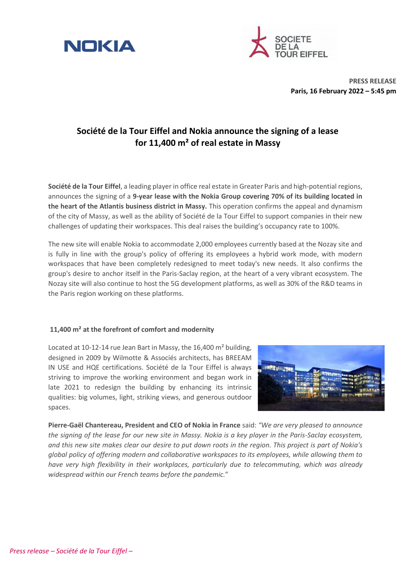



**PRESS RELEASE Paris, 16 February 2022 – 5:45 pm** 

# **Société de la Tour Eiffel and Nokia announce the signing of a lease for 11,400 m² of real estate in Massy**

**Société de la Tour Eiffel**, a leading player in office real estate in Greater Paris and high-potential regions, announces the signing of a **9-year lease with the Nokia Group covering 70% of its building located in the heart of the Atlantis business district in Massy.** This operation confirms the appeal and dynamism of the city of Massy, as well as the ability of Société de la Tour Eiffel to support companies in their new challenges of updating their workspaces. This deal raises the building's occupancy rate to 100%.

The new site will enable Nokia to accommodate 2,000 employees currently based at the Nozay site and is fully in line with the group's policy of offering its employees a hybrid work mode, with modern workspaces that have been completely redesigned to meet today's new needs. It also confirms the group's desire to anchor itself in the Paris-Saclay region, at the heart of a very vibrant ecosystem. The Nozay site will also continue to host the 5G development platforms, as well as 30% of the R&D teams in the Paris region working on these platforms.

## **11,400 m² at the forefront of comfort and modernity**

Located at 10-12-14 rue Jean Bart in Massy, the 16,400 m² building, designed in 2009 by Wilmotte & Associés architects, has BREEAM IN USE and HQE certifications. Société de la Tour Eiffel is always striving to improve the working environment and began work in late 2021 to redesign the building by enhancing its intrinsic qualities: big volumes, light, striking views, and generous outdoor spaces.



**Pierre-Gaël Chantereau, President and CEO of Nokia in France** said: *"We are very pleased to announce the signing of the lease for our new site in Massy. Nokia is a key player in the Paris-Saclay ecosystem, and this new site makes clear our desire to put down roots in the region. This project is part of Nokia's global policy of offering modern and collaborative workspaces to its employees, while allowing them to have very high flexibility in their workplaces, particularly due to telecommuting, which was already widespread within our French teams before the pandemic.*"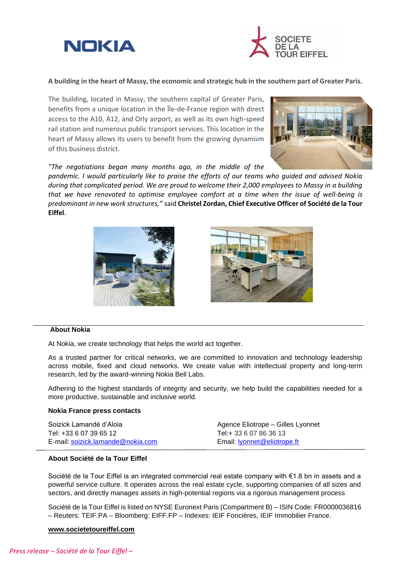



**A building in the heart of Massy, the economic and strategic hub in the southern part of Greater Paris.**

The building, located in Massy, the southern capital of Greater Paris, benefits from a unique location in the Île-de-France region with direct access to the A10, A12, and Orly airport, as well as its own high-speed rail station and numerous public transport services. This location in the heart of Massy allows its users to benefit from the growing dynamism of this business district.

*"The negotiations began many months ago, in the middle of the* 

*pandemic. I would particularly like to praise the efforts of our teams who guided and advised Nokia during that complicated period. We are proud to welcome their 2,000 employees to Massy in a building that we have renovated to optimise employee comfort at a time when the issue of well-being is predominant in new work structures,"* said **Christel Zordan, Chief Executive Officer of Société de la Tour Eiffel**.





## **About Nokia**

At Nokia, we create technology that helps the world act together.

As a trusted partner for critical networks, we are committed to innovation and technology leadership across mobile, fixed and cloud networks. We create value with intellectual property and long-term research, led by the award-winning Nokia Bell Labs.

Adhering to the highest standards of integrity and security, we help build the capabilities needed for a more productive, sustainable and inclusive world.

#### **Nokia France press contacts**

| Soizick Lamandé d'Aloia           | Agence Eliotrope – Gilles Lyonnet |
|-----------------------------------|-----------------------------------|
| Tel: +33 6 07 39 65 12            | Tel:+ 33 6 07 86 36 13            |
| E-mail: soizick.lamande@nokia.com | Email: lyonnet@eliotrope.fr       |

# **About Société de la Tour Eiffel**

Société de la Tour Eiffel is an integrated commercial real estate company with €1.8 bn in assets and a powerful service culture. It operates across the real estate cycle, supporting companies of all sizes and sectors, and directly manages assets in high-potential regions via a rigorous management process

Société de la Tour Eiffel is listed on NYSE Euronext Paris (Compartment B) – ISIN Code: FR0000036816 – Reuters: TEIF.PA – Bloomberg: EIFF.FP – Indexes: IEIF Foncières, IEIF Immobilier France.

### **[www.societetoureiffel.com](http://www.societetoureiffel.com/)**